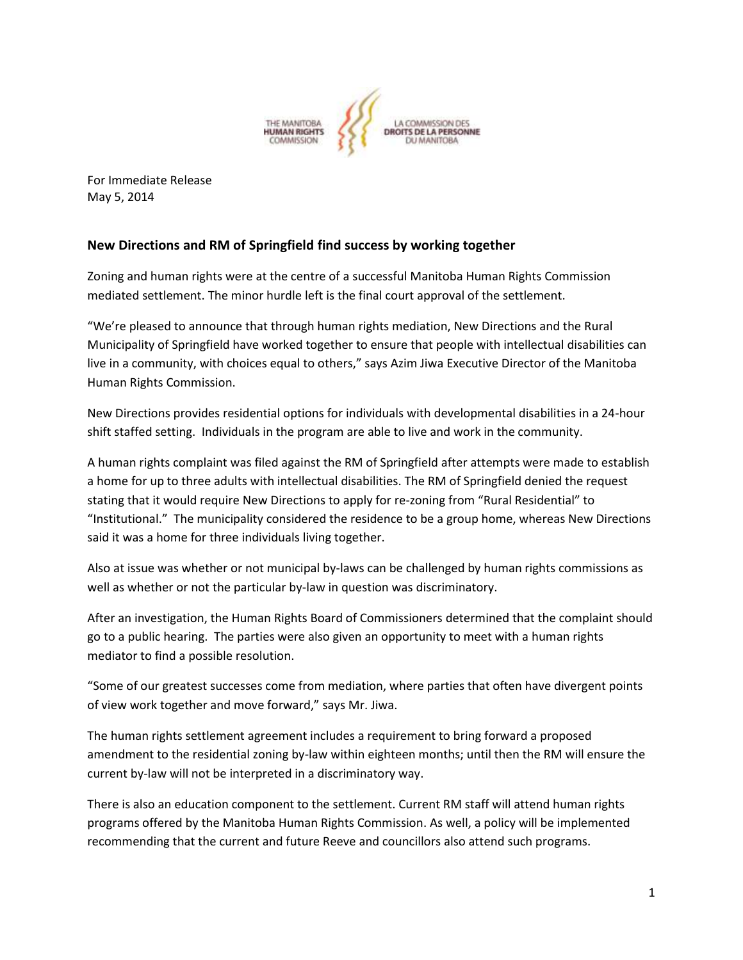

For Immediate Release May 5, 2014

## **New Directions and RM of Springfield find success by working together**

Zoning and human rights were at the centre of a successful Manitoba Human Rights Commission mediated settlement. The minor hurdle left is the final court approval of the settlement.

"We're pleased to announce that through human rights mediation, New Directions and the Rural Municipality of Springfield have worked together to ensure that people with intellectual disabilities can live in a community, with choices equal to others," says Azim Jiwa Executive Director of the Manitoba Human Rights Commission.

New Directions provides residential options for individuals with developmental disabilities in a 24-hour shift staffed setting. Individuals in the program are able to live and work in the community.

A human rights complaint was filed against the RM of Springfield after attempts were made to establish a home for up to three adults with intellectual disabilities. The RM of Springfield denied the request stating that it would require New Directions to apply for re-zoning from "Rural Residential" to "Institutional." The municipality considered the residence to be a group home, whereas New Directions said it was a home for three individuals living together.

Also at issue was whether or not municipal by-laws can be challenged by human rights commissions as well as whether or not the particular by-law in question was discriminatory.

After an investigation, the Human Rights Board of Commissioners determined that the complaint should go to a public hearing. The parties were also given an opportunity to meet with a human rights mediator to find a possible resolution.

"Some of our greatest successes come from mediation, where parties that often have divergent points of view work together and move forward," says Mr. Jiwa.

The human rights settlement agreement includes a requirement to bring forward a proposed amendment to the residential zoning by-law within eighteen months; until then the RM will ensure the current by-law will not be interpreted in a discriminatory way.

There is also an education component to the settlement. Current RM staff will attend human rights programs offered by the Manitoba Human Rights Commission. As well, a policy will be implemented recommending that the current and future Reeve and councillors also attend such programs.